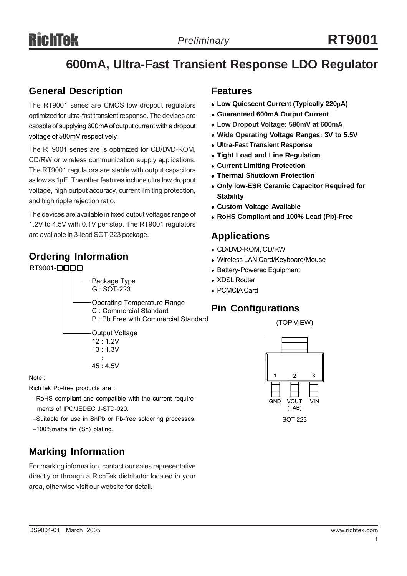## Richtek

## **600mA, Ultra-Fast Transient Response LDO Regulator**

## **General Description**

The RT9001 series are CMOS low dropout regulators optimized for ultra-fast transient response. The devices are capable of supplying 600mA of output current with a dropout voltage of 580mV respectively.

The RT9001 series are is optimized for CD/DVD-ROM, CD/RW or wireless communication supply applications. The RT9001 regulators are stable with output capacitors as low as 1µF. The other features include ultra low dropout voltage, high output accuracy, current limiting protection, and high ripple rejection ratio.

The devices are available in fixed output voltages range of 1.2V to 4.5V with 0.1V per step. The RT9001 regulators are available in 3-lead SOT-223 package.

## **Ordering Information**



#### Note :

RichTek Pb-free products are :

- −RoHS compliant and compatible with the current require ments of IPC/JEDEC J-STD-020.
- −Suitable for use in SnPb or Pb-free soldering processes.
- −100%matte tin (Sn) plating.

## **Marking Information**

For marking information, contact our sales representative directly or through a RichTek distributor located in your area, otherwise visit our website for detail.

### **Features**

- <sup>z</sup> **Low Quiescent Current (Typically 220**µ**A)**
- <sup>z</sup> **Guaranteed 600mA Output Current**
- <sup>z</sup> **Low Dropout Voltage: 580mV at 600mA**
- Wide Operating Voltage Ranges: 3V to 5.5V
- **Ultra-Fast Transient Response**
- **Tight Load and Line Regulation**
- **Current Limiting Protection**
- **Thermal Shutdown Protection**
- **Only low-ESR Ceramic Capacitor Required for Stability**
- **Custom Voltage Available**
- <sup>z</sup> **RoHS Compliant and 100% Lead (Pb)-Free**

## **Applications**

- CD/DVD-ROM, CD/RW
- Wireless LAN Card/Keyboard/Mouse
- Battery-Powered Equipment
- XDSL Router
- PCMCIA Card

## **Pin Configurations**

(TOP VIEW)

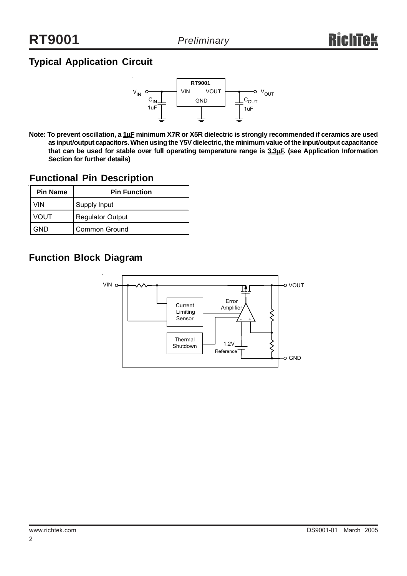## **Typical Application Circuit**



**Note: To prevent oscillation, a 1**µ**F minimum X7R or X5R dielectric is strongly recommended if ceramics are used as input/output capacitors. When using the Y5V dielectric, the minimum value of the input/output capacitance that can be used for stable over full operating temperature range is 3.3**µ**F. (see Application Information Section for further details)**

## **Functional Pin Description**

| <b>Pin Name</b> | <b>Pin Function</b>     |  |  |
|-----------------|-------------------------|--|--|
| VIN             | Supply Input            |  |  |
| VOUT            | <b>Regulator Output</b> |  |  |
| GND             | <b>Common Ground</b>    |  |  |

## **Function Block Diagram**

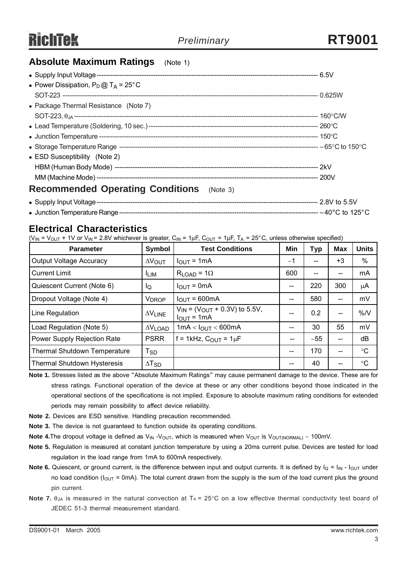## **Absolute Maximum Ratings** (Note 1)

| • Power Dissipation, $P_D @ T_A = 25^\circ C$    |  |
|--------------------------------------------------|--|
|                                                  |  |
| • Package Thermal Resistance (Note 7)            |  |
|                                                  |  |
|                                                  |  |
|                                                  |  |
|                                                  |  |
| • ESD Susceptibility (Note 2)                    |  |
|                                                  |  |
|                                                  |  |
| <b>Recommended Operating Conditions</b> (Note 3) |  |

#### **Electrical Characteristics**

( $V_{IN}$  =  $V_{OUT}$  + 1V or  $V_{IN}$  = 2.8V whichever is greater,  $C_{IN}$  = 1 $\mu$ F,  $C_{OUT}$  = 1 $\mu$ F, T<sub>A</sub> = 25°C, unless otherwise specified)

| <b>Parameter</b>                    | Symbol                     | <b>Test Conditions</b>                                     | Min  | Typ   | Max  | <b>Units</b>    |
|-------------------------------------|----------------------------|------------------------------------------------------------|------|-------|------|-----------------|
| <b>Output Voltage Accuracy</b>      | $\Delta V_{\text{OUT}}$    | $I_{OUT} = 1mA$                                            | $-1$ | --    | $+3$ | $\%$            |
| <b>Current Limit</b>                | <b>ILIM</b>                | $R_{LOAD}$ = 1 $\Omega$                                    | 600  | --    |      | mA              |
| Quiescent Current (Note 6)          | ΙQ                         | $I_{\text{OUT}} = 0 \text{mA}$                             | --   | 220   | 300  | μA              |
| Dropout Voltage (Note 4)            | <b>V<sub>DROP</sub></b>    | $IOUT = 600mA$                                             | --   | 580   | --   | mV              |
| Line Regulation                     | $\Delta V$ LINE            | $V_{IN}$ = ( $V_{OUT}$ + 0.3V) to 5.5V,<br>$I_{OUT} = 1mA$ |      | 0.2   | --   | %N              |
| Load Regulation (Note 5)            | $\Delta V$ LOAD            | $1mA < I_{OUT} < 600mA$                                    |      | 30    | 55   | mV              |
| Power Supply Rejection Rate         | <b>PSRR</b>                | $f = 1$ kHz, $C_{OUT} = 1 \mu F$                           | --   | $-55$ | --   | dB              |
| <b>Thermal Shutdown Temperature</b> | $\mathsf{T}_{\mathsf{SD}}$ |                                                            | --   | 170   | --   | $^{\circ}C$     |
| <b>Thermal Shutdown Hysteresis</b>  | $\Delta$ T <sub>SD</sub>   |                                                            |      | 40    |      | $\rm ^{\circ}C$ |

**Note 1.** Stresses listed as the above "Absolute Maximum Ratings" may cause permanent damage to the device. These are for stress ratings. Functional operation of the device at these or any other conditions beyond those indicated in the operational sections of the specifications is not implied. Exposure to absolute maximum rating conditions for extended periods may remain possibility to affect device reliability.

- **Note 2.** Devices are ESD sensitive. Handling precaution recommended.
- **Note 3.** The device is not guaranteed to function outside its operating conditions.
- Note 4. The dropout voltage is defined as V<sub>IN</sub> -V<sub>OUT</sub>, which is measured when V<sub>OUT</sub> is V<sub>OUT(NORMAL)</sub> − 100mV.
- **Note 5.** Regulation is measured at constant junction temperature by using a 20ms current pulse. Devices are tested for load regulation in the load range from 1mA to 600mA respectively.
- **Note 6.** Quiescent, or ground current, is the difference between input and output currents. It is defined by  $I_Q = I_{IN} I_{OUT}$  under no load condition ( $I_{\text{OUT}}$  = 0mA). The total current drawn from the supply is the sum of the load current plus the ground pin current.
- **Note 7.**  $\theta_{JA}$  is measured in the natural convection at  $T_A = 25^{\circ}C$  on a low effective thermal conductivity test board of JEDEC 51-3 thermal measurement standard.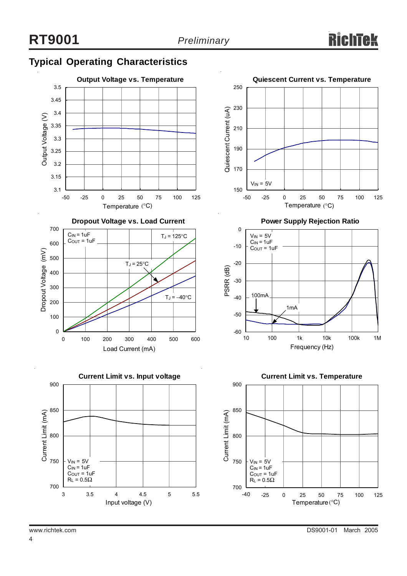## **Typical Operating Characteristics**







**Power Supply Rejection Ratio**



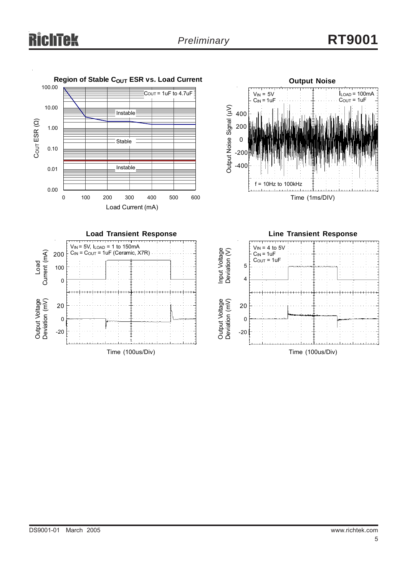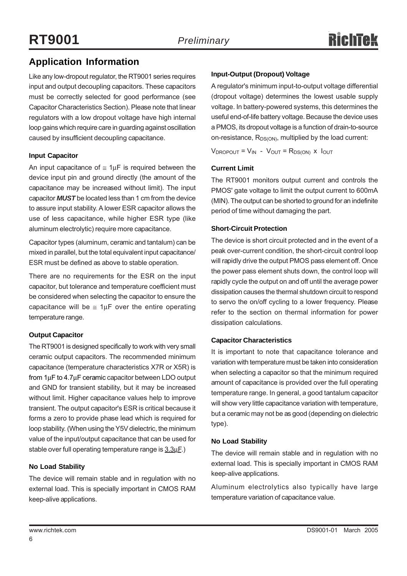## **Application Information**

Like any low-dropout regulator, the RT9001 series requires input and output decoupling capacitors. These capacitors must be correctly selected for good performance (see Capacitor Characteristics Section). Please note that linear regulators with a low dropout voltage have high internal loop gains which require care in guarding against oscillation caused by insufficient decoupling capacitance.

#### **Input Capacitor**

An input capacitance of  $\leq 1 \mu$ F is required between the device input pin and ground directly (the amount of the capacitance may be increased without limit). The input capacitor *MUST* be located less than 1 cm from the device to assure input stability. A lower ESR capacitor allows the use of less capacitance, while higher ESR type (like aluminum electrolytic) require more capacitance.

Capacitor types (aluminum, ceramic and tantalum) can be mixed in parallel, but the total equivalent input capacitance/ ESR must be defined as above to stable operation.

There are no requirements for the ESR on the input capacitor, but tolerance and temperature coefficient must be considered when selecting the capacitor to ensure the capacitance will be  $\leq 1 \mu$ F over the entire operating temperature range.

#### **Output Capacitor**

The RT9001 is designed specifically to work with very small ceramic output capacitors. The recommended minimum capacitance (temperature characteristics X7R or X5R) is from 1µF to 4.7µF ceramic capacitor between LDO output and GND for transient stability, but it may be increased without limit. Higher capacitance values help to improve transient. The output capacitor's ESR is critical because it forms a zero to provide phase lead which is required for loop stability. (When using the Y5V dielectric, the minimum value of the input/output capacitance that can be used for stable over full operating temperature range is  $3.3 \mu$ F.)

#### **No Load Stability**

The device will remain stable and in regulation with no external load. This is specially important in CMOS RAM keep-alive applications.

#### **Input-Output (Dropout) Voltage**

A regulator's minimum input-to-output voltage differential (dropout voltage) determines the lowest usable supply voltage. In battery-powered systems, this determines the useful end-of-life battery voltage. Because the device uses a PMOS, its dropout voltage is a function of drain-to-source on-resistance,  $R_{DS(ON)}$ , multiplied by the load current:

 $V_{\text{DROPOUT}} = V_{\text{IN}} - V_{\text{OUT}} = R_{\text{DS(ON)}}$  x  $I_{\text{OUT}}$ 

#### **Current Limit**

The RT9001 monitors output current and controls the PMOS' gate voltage to limit the output current to 600mA (MIN). The output can be shorted to ground for an indefinite period of time without damaging the part.

#### **Short-Circuit Protection**

The device is short circuit protected and in the event of a peak over-current condition, the short-circuit control loop will rapidly drive the output PMOS pass element off. Once the power pass element shuts down, the control loop will rapidly cycle the output on and off until the average power dissipation causes the thermal shutdown circuit to respond to servo the on/off cycling to a lower frequency. Please refer to the section on thermal information for power dissipation calculations.

#### **Capacitor Characteristics**

It is important to note that capacitance tolerance and variation with temperature must be taken into consideration when selecting a capacitor so that the minimum required amount of capacitance is provided over the full operating temperature range. In general, a good tantalum capacitor will show very little capacitance variation with temperature, but a ceramic may not be as good (depending on dielectric type).

#### **No Load Stability**

The device will remain stable and in regulation with no external load. This is specially important in CMOS RAM keep-alive applications.

Aluminum electrolytics also typically have large temperature variation of capacitance value.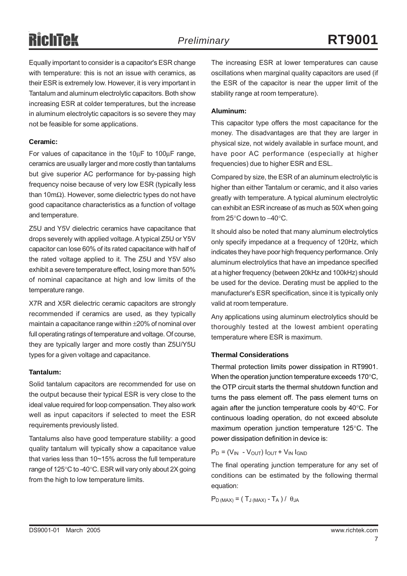# **RichTek**

Equally important to consider is a capacitor's ESR change with temperature: this is not an issue with ceramics, as their ESR is extremely low. However, it is very important in Tantalum and aluminum electrolytic capacitors. Both show increasing ESR at colder temperatures, but the increase in aluminum electrolytic capacitors is so severe they may not be feasible for some applications.

#### **Ceramic:**

For values of capacitance in the 10µF to 100µF range, ceramics are usually larger and more costly than tantalums but give superior AC performance for by-passing high frequency noise because of very low ESR (typically less than 10mΩ). However, some dielectric types do not have good capacitance characteristics as a function of voltage and temperature.

Z5U and Y5V dielectric ceramics have capacitance that drops severely with applied voltage. A typical Z5U or Y5V capacitor can lose 60% of its rated capacitance with half of the rated voltage applied to it. The Z5U and Y5V also exhibit a severe temperature effect, losing more than 50% of nominal capacitance at high and low limits of the temperature range.

X7R and X5R dielectric ceramic capacitors are strongly recommended if ceramics are used, as they typically maintain a capacitance range within ±20% of nominal over full operating ratings of temperature and voltage. Of course, they are typically larger and more costly than Z5U/Y5U types for a given voltage and capacitance.

#### **Tantalum:**

Solid tantalum capacitors are recommended for use on the output because their typical ESR is very close to the ideal value required for loop compensation. They also work well as input capacitors if selected to meet the ESR requirements previously listed.

Tantalums also have good temperature stability: a good quality tantalum will typically show a capacitance value that varies less than 10~15% across the full temperature range of 125°C to -40°C. ESR will vary only about 2X going from the high to low temperature limits.

The increasing ESR at lower temperatures can cause oscillations when marginal quality capacitors are used (if the ESR of the capacitor is near the upper limit of the stability range at room temperature).

#### **Aluminum:**

This capacitor type offers the most capacitance for the money. The disadvantages are that they are larger in physical size, not widely available in surface mount, and have poor AC performance (especially at higher frequencies) due to higher ESR and ESL.

Compared by size, the ESR of an aluminum electrolytic is higher than either Tantalum or ceramic, and it also varies greatly with temperature. A typical aluminum electrolytic can exhibit an ESR increase of as much as 50X when going from 25°C down to −40°C.

It should also be noted that many aluminum electrolytics only specify impedance at a frequency of 120Hz, which indicates they have poor high frequency performance. Only aluminum electrolytics that have an impedance specified at a higher frequency (between 20kHz and 100kHz) should be used for the device. Derating must be applied to the manufacturer's ESR specification, since it is typically only valid at room temperature.

Any applications using aluminum electrolytics should be thoroughly tested at the lowest ambient operating temperature where ESR is maximum.

#### **Thermal Considerations**

Thermal protection limits power dissipation in RT9901. When the operation junction temperature exceeds 170°C, the OTP circuit starts the thermal shutdown function and turns the pass element off. The pass element turns on again after the junction temperature cools by 40°C. For continuous loading operation, do not exceed absolute maximum operation junction temperature 125°C. The power dissipation definition in device is:

 $P_D = (V_{IN} - V_{OUT}) I_{OUT} + V_{IN} I_{GND}$ 

The final operating junction temperature for any set of conditions can be estimated by the following thermal equation:

 $P_{D (MAX)} = (T_{J (MAX)} - T_{A}) / \theta_{JA}$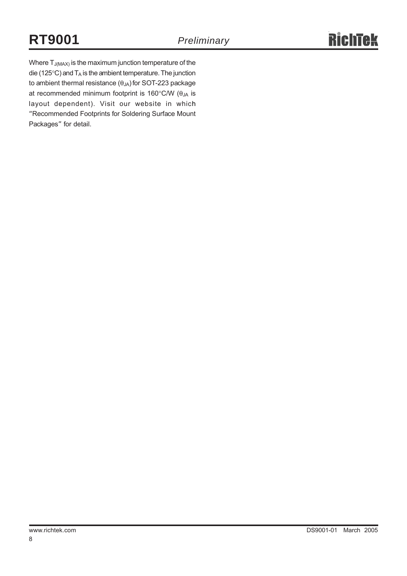Where  $T_{J(MAX)}$  is the maximum junction temperature of the die (125 $^{\circ}$ C) and  $T_A$  is the ambient temperature. The junction to ambient thermal resistance  $(\theta_{JA})$  for SOT-223 package at recommended minimum footprint is 160 $\degree$ C/W ( $\theta_{JA}$  is layout dependent). Visit our website in which "Recommended Footprints for Soldering Surface Mount Packages" for detail.